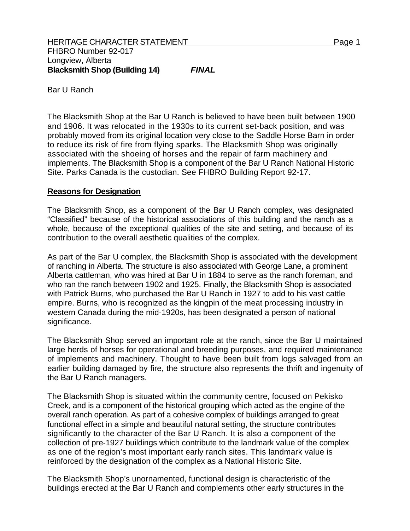Bar U Ranch

The Blacksmith Shop at the Bar U Ranch is believed to have been built between 1900 and 1906. It was relocated in the 1930s to its current set-back position, and was probably moved from its original location very close to the Saddle Horse Barn in order to reduce its risk of fire from flying sparks. The Blacksmith Shop was originally associated with the shoeing of horses and the repair of farm machinery and implements. The Blacksmith Shop is a component of the Bar U Ranch National Historic Site. Parks Canada is the custodian. See FHBRO Building Report 92-17.

## **Reasons for Designation**

The Blacksmith Shop, as a component of the Bar U Ranch complex, was designated "Classified" because of the historical associations of this building and the ranch as a whole, because of the exceptional qualities of the site and setting, and because of its contribution to the overall aesthetic qualities of the complex.

As part of the Bar U complex, the Blacksmith Shop is associated with the development of ranching in Alberta. The structure is also associated with George Lane, a prominent Alberta cattleman, who was hired at Bar U in 1884 to serve as the ranch foreman, and who ran the ranch between 1902 and 1925. Finally, the Blacksmith Shop is associated with Patrick Burns, who purchased the Bar U Ranch in 1927 to add to his vast cattle empire. Burns, who is recognized as the kingpin of the meat processing industry in western Canada during the mid-1920s, has been designated a person of national significance.

The Blacksmith Shop served an important role at the ranch, since the Bar U maintained large herds of horses for operational and breeding purposes, and required maintenance of implements and machinery. Thought to have been built from logs salvaged from an earlier building damaged by fire, the structure also represents the thrift and ingenuity of the Bar U Ranch managers.

The Blacksmith Shop is situated within the community centre, focused on Pekisko Creek, and is a component of the historical grouping which acted as the engine of the overall ranch operation. As part of a cohesive complex of buildings arranged to great functional effect in a simple and beautiful natural setting, the structure contributes significantly to the character of the Bar U Ranch. It is also a component of the collection of pre-1927 buildings which contribute to the landmark value of the complex as one of the region's most important early ranch sites. This landmark value is reinforced by the designation of the complex as a National Historic Site.

The Blacksmith Shop's unornamented, functional design is characteristic of the buildings erected at the Bar U Ranch and complements other early structures in the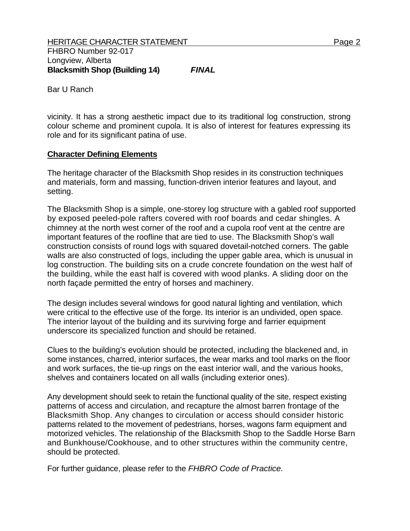Bar U Ranch

vicinity. It has a strong aesthetic impact due to its traditional log construction, strong colour scheme and prominent cupola. It is also of interest for features expressing its role and for its significant patina of use.

## **Character Defining Elements**

The heritage character of the Blacksmith Shop resides in its construction techniques and materials, form and massing, function-driven interior features and layout, and setting.

The Blacksmith Shop is a simple, one-storey log structure with a gabled roof supported by exposed peeled-pole rafters covered with roof boards and cedar shingles. A chimney at the north west corner of the roof and a cupola roof vent at the centre are important features of the roofline that are tied to use. The Blacksmith Shop's wall construction consists of round logs with squared dovetail-notched corners. The gable walls are also constructed of logs, including the upper gable area, which is unusual in log construction. The building sits on a crude concrete foundation on the west half of the building, while the east half is covered with wood planks. A sliding door on the north façade permitted the entry of horses and machinery.

The design includes several windows for good natural lighting and ventilation, which were critical to the effective use of the forge. Its interior is an undivided, open space. The interior layout of the building and its surviving forge and farrier equipment underscore its specialized function and should be retained.

Clues to the building's evolution should be protected, including the blackened and, in some instances, charred, interior surfaces, the wear marks and tool marks on the floor and work surfaces, the tie-up rings on the east interior wall, and the various hooks, shelves and containers located on all walls (including exterior ones).

Any development should seek to retain the functional quality of the site, respect existing patterns of access and circulation, and recapture the almost barren frontage of the Blacksmith Shop. Any changes to circulation or access should consider historic patterns related to the movement of pedestrians, horses, wagons farm equipment and motorized vehicles. The relationship of the Blacksmith Shop to the Saddle Horse Barn and Bunkhouse/Cookhouse, and to other structures within the community centre, should be protected.

For further guidance, please refer to the *FHBRO Code of Practice.*